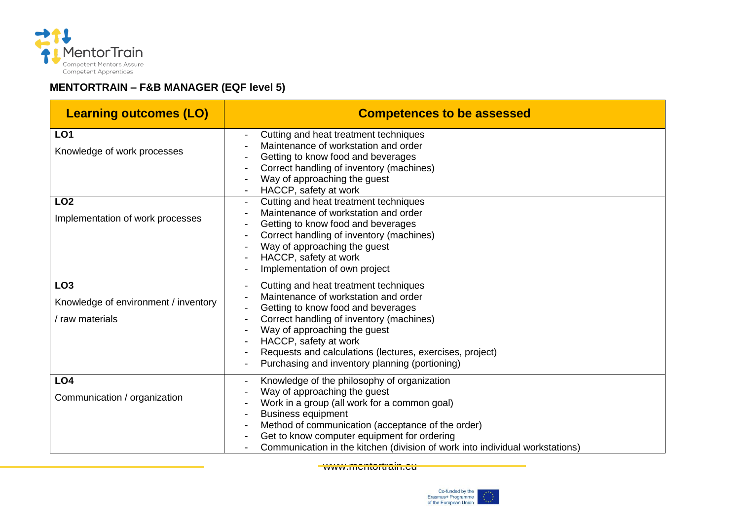

## **MENTORTRAIN – F&B MANAGER (EQF level 5)**

| <b>Learning outcomes (LO)</b>                                              | <b>Competences to be assessed</b>                                                                                                                                                                                                                                                                                                            |
|----------------------------------------------------------------------------|----------------------------------------------------------------------------------------------------------------------------------------------------------------------------------------------------------------------------------------------------------------------------------------------------------------------------------------------|
| LO <sub>1</sub><br>Knowledge of work processes                             | Cutting and heat treatment techniques<br>Maintenance of workstation and order<br>Getting to know food and beverages<br>Correct handling of inventory (machines)<br>Way of approaching the guest                                                                                                                                              |
| LO <sub>2</sub><br>Implementation of work processes                        | HACCP, safety at work<br>Cutting and heat treatment techniques<br>Maintenance of workstation and order<br>Getting to know food and beverages<br>Correct handling of inventory (machines)<br>Way of approaching the guest<br>HACCP, safety at work<br>Implementation of own project                                                           |
| LO <sub>3</sub><br>Knowledge of environment / inventory<br>/ raw materials | Cutting and heat treatment techniques<br>Maintenance of workstation and order<br>Getting to know food and beverages<br>Correct handling of inventory (machines)<br>Way of approaching the guest<br>HACCP, safety at work<br>Requests and calculations (lectures, exercises, project)<br>Purchasing and inventory planning (portioning)       |
| LO <sub>4</sub><br>Communication / organization                            | Knowledge of the philosophy of organization<br>Way of approaching the guest<br>Work in a group (all work for a common goal)<br><b>Business equipment</b><br>Method of communication (acceptance of the order)<br>Get to know computer equipment for ordering<br>Communication in the kitchen (division of work into individual workstations) |

www.mentortrain.eu

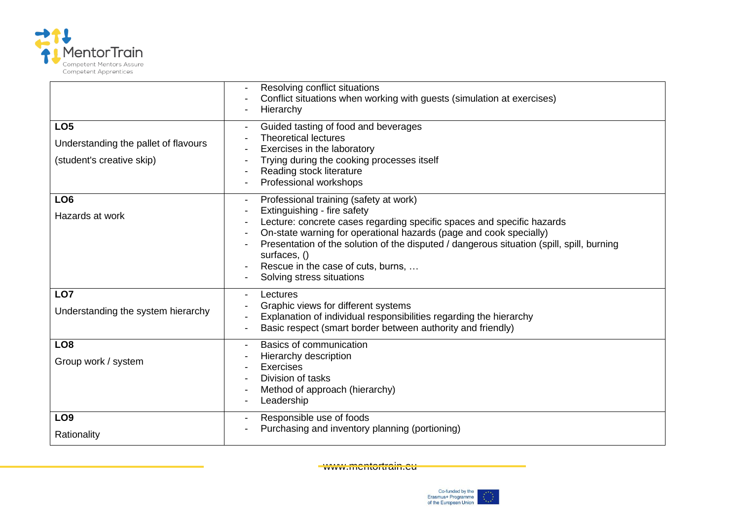

| LO <sub>5</sub><br>Understanding the pallet of flavours<br>(student's creative skip) | Resolving conflict situations<br>Conflict situations when working with guests (simulation at exercises)<br>Hierarchy<br>Guided tasting of food and beverages<br><b>Theoretical lectures</b><br>Exercises in the laboratory<br>Trying during the cooking processes itself<br>Reading stock literature<br>Professional workshops                                                                        |
|--------------------------------------------------------------------------------------|-------------------------------------------------------------------------------------------------------------------------------------------------------------------------------------------------------------------------------------------------------------------------------------------------------------------------------------------------------------------------------------------------------|
| LO <sub>6</sub><br>Hazards at work                                                   | Professional training (safety at work)<br>Extinguishing - fire safety<br>Lecture: concrete cases regarding specific spaces and specific hazards<br>On-state warning for operational hazards (page and cook specially)<br>Presentation of the solution of the disputed / dangerous situation (spill, spill, burning<br>surfaces, ()<br>Rescue in the case of cuts, burns,<br>Solving stress situations |
| LO7<br>Understanding the system hierarchy                                            | Lectures<br>Graphic views for different systems<br>Explanation of individual responsibilities regarding the hierarchy<br>Basic respect (smart border between authority and friendly)                                                                                                                                                                                                                  |
| LO <sub>8</sub><br>Group work / system                                               | Basics of communication<br>Hierarchy description<br>Exercises<br>Division of tasks<br>Method of approach (hierarchy)<br>Leadership                                                                                                                                                                                                                                                                    |
| LO <sub>9</sub><br>Rationality                                                       | Responsible use of foods<br>Purchasing and inventory planning (portioning)                                                                                                                                                                                                                                                                                                                            |